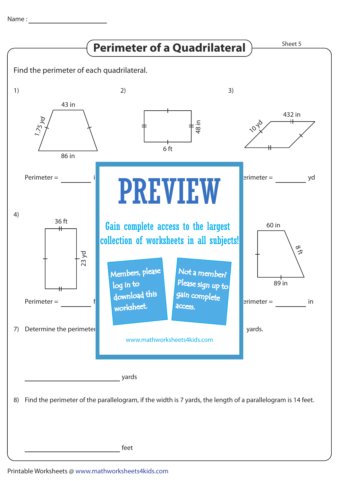